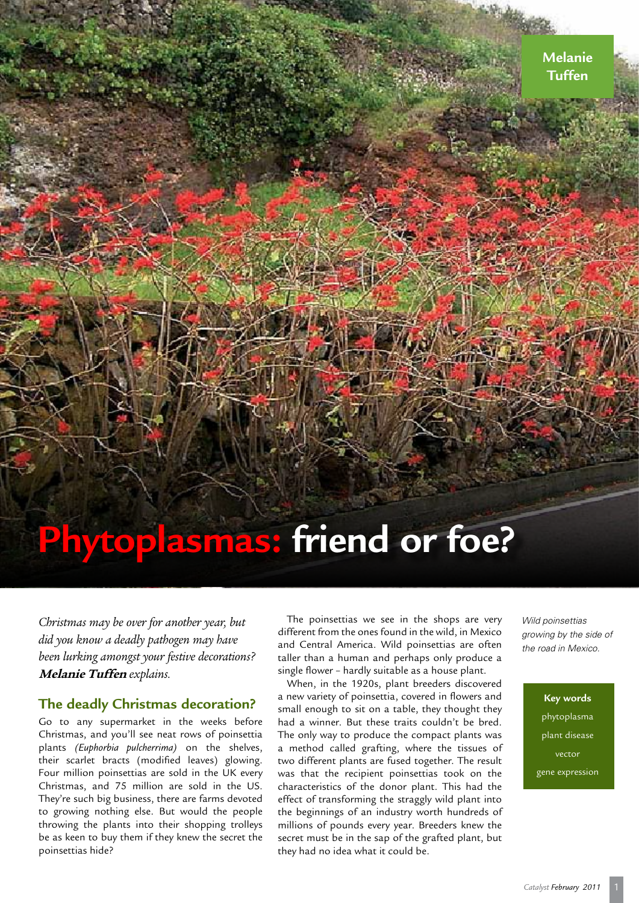

*Christmas may be over for another year, but did you know a deadly pathogen may have been lurking amongst your festive decorations?*  **Melanie Tuffen** *explains.*

#### **The deadly Christmas decoration?**

Go to any supermarket in the weeks before Christmas, and you'll see neat rows of poinsettia plants *(Euphorbia pulcherrima)* on the shelves, their scarlet bracts (modified leaves) glowing. Four million poinsettias are sold in the UK every Christmas, and 75 million are sold in the US. They're such big business, there are farms devoted to growing nothing else. But would the people throwing the plants into their shopping trolleys be as keen to buy them if they knew the secret the poinsettias hide?

The poinsettias we see in the shops are very different from the ones found in the wild, in Mexico and Central America. Wild poinsettias are often taller than a human and perhaps only produce a single flower – hardly suitable as a house plant.

When, in the 1920s, plant breeders discovered a new variety of poinsettia, covered in flowers and small enough to sit on a table, they thought they had a winner. But these traits couldn't be bred. The only way to produce the compact plants was a method called grafting, where the tissues of two different plants are fused together. The result was that the recipient poinsettias took on the characteristics of the donor plant. This had the effect of transforming the straggly wild plant into the beginnings of an industry worth hundreds of millions of pounds every year. Breeders knew the secret must be in the sap of the grafted plant, but they had no idea what it could be.

*Wild poinsettias growing by the side of the road in Mexico.*

> **Key words** phytoplasma plant disease vector gene expression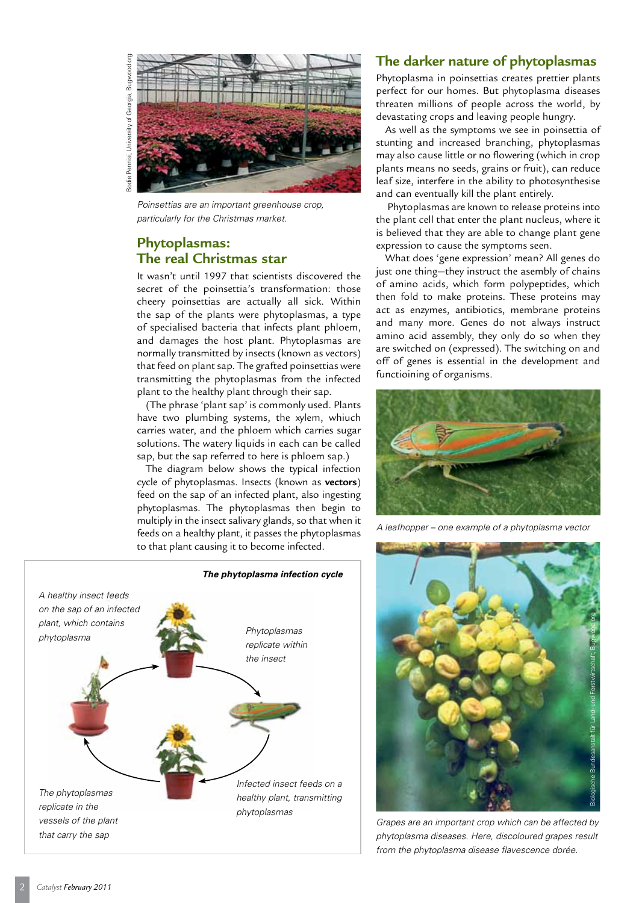Bodie Pennisi, University of Georgia, Bugwood.org Pennisi, University of Georgia, Bugwood.org 3odie



*Poinsettias are an important greenhouse crop, particularly for the Christmas market.*

# **Phytoplasmas: The real Christmas star**

It wasn't until 1997 that scientists discovered the secret of the poinsettia's transformation: those cheery poinsettias are actually all sick. Within the sap of the plants were phytoplasmas, a type of specialised bacteria that infects plant phloem, and damages the host plant. Phytoplasmas are normally transmitted by insects (known as vectors) that feed on plant sap. The grafted poinsettias were transmitting the phytoplasmas from the infected plant to the healthy plant through their sap.

(The phrase 'plant sap' is commonly used. Plants have two plumbing systems, the xylem, whiuch carries water, and the phloem which carries sugar solutions. The watery liquids in each can be called sap, but the sap referred to here is phloem sap.)

The diagram below shows the typical infection cycle of phytoplasmas. Insects (known as **vectors**) feed on the sap of an infected plant, also ingesting phytoplasmas. The phytoplasmas then begin to multiply in the insect salivary glands, so that when it feeds on a healthy plant, it passes the phytoplasmas to that plant causing it to become infected.



### **The darker nature of phytoplasmas**

Phytoplasma in poinsettias creates prettier plants perfect for our homes. But phytoplasma diseases threaten millions of people across the world, by devastating crops and leaving people hungry.

As well as the symptoms we see in poinsettia of stunting and increased branching, phytoplasmas may also cause little or no flowering (which in crop plants means no seeds, grains or fruit), can reduce leaf size, interfere in the ability to photosynthesise and can eventually kill the plant entirely.

 Phytoplasmas are known to release proteins into the plant cell that enter the plant nucleus, where it is believed that they are able to change plant gene expression to cause the symptoms seen.

What does 'gene expression' mean? All genes do just one thing—they instruct the asembly of chains of amino acids, which form polypeptides, which then fold to make proteins. These proteins may act as enzymes, antibiotics, membrane proteins and many more. Genes do not always instruct amino acid assembly, they only do so when they are switched on (expressed). The switching on and off of genes is essential in the development and functioining of organisms.



*A leafhopper – one example of a phytoplasma vector*



*Grapes are an important crop which can be affected by phytoplasma diseases. Here, discoloured grapes result from the phytoplasma disease flavescence dorée.*